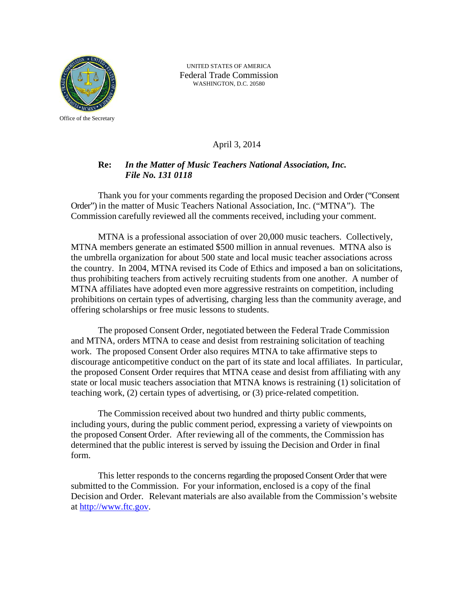

UNITED STATES OF AMERICA Federal Trade Commission WASHINGTON, D.C. 20580

# April 3, 2014

# **Re:** *In the Matter of Music Teachers National Association, Inc. File No. 131 0118*

Thank you for your comments regarding the proposed Decision and Order ("Consent Order") in the matter of Music Teachers National Association, Inc. ("MTNA"). The Commission carefully reviewed all the comments received, including your comment.

MTNA is a professional association of over 20,000 music teachers. Collectively, MTNA members generate an estimated \$500 million in annual revenues. MTNA also is the umbrella organization for about 500 state and local music teacher associations across the country. In 2004, MTNA revised its Code of Ethics and imposed a ban on solicitations, thus prohibiting teachers from actively recruiting students from one another. A number of MTNA affiliates have adopted even more aggressive restraints on competition, including prohibitions on certain types of advertising, charging less than the community average, and offering scholarships or free music lessons to students.

The proposed Consent Order, negotiated between the Federal Trade Commission and MTNA, orders MTNA to cease and desist from restraining solicitation of teaching work. The proposed Consent Order also requires MTNA to take affirmative steps to discourage anticompetitive conduct on the part of its state and local affiliates. In particular, the proposed Consent Order requires that MTNA cease and desist from affiliating with any state or local music teachers association that MTNA knows is restraining (1) solicitation of teaching work, (2) certain types of advertising, or (3) price-related competition.

The Commission received about two hundred and thirty public comments, including yours, during the public comment period, expressing a variety of viewpoints on the proposed Consent Order. After reviewing all of the comments, the Commission has determined that the public interest is served by issuing the Decision and Order in final form.

This letter responds to the concerns regarding the proposed Consent Order that were submitted to the Commission. For your information, enclosed is a copy of the final Decision and Order. Relevant materials are also available from the Commission's website at http://www.ftc.gov.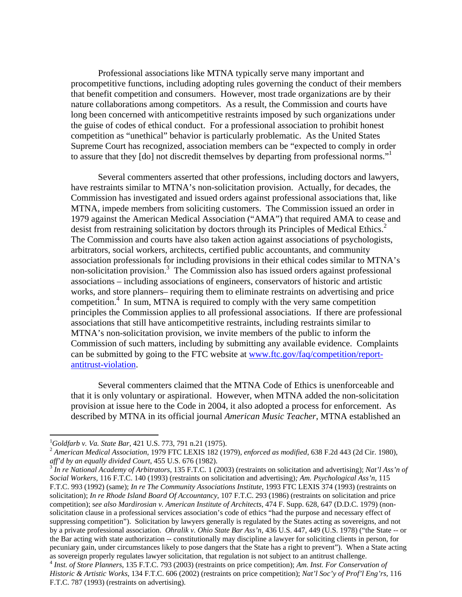Professional associations like MTNA typically serve many important and procompetitive functions, including adopting rules governing the conduct of their members that benefit competition and consumers. However, most trade organizations are by their nature collaborations among competitors. As a result, the Commission and courts have long been concerned with anticompetitive restraints imposed by such organizations under the guise of codes of ethical conduct. For a professional association to prohibit honest competition as "unethical" behavior is particularly problematic. As the United States Supreme Court has recognized, association members can be "expected to comply in order to assure that they [do] not discredit themselves by departing from professional norms."

Several commenters asserted that other professions, including doctors and lawyers, have restraints similar to MTNA's non-solicitation provision. Actually, for decades, the Commission has investigated and issued orders against professional associations that, like MTNA, impede members from soliciting customers. The Commission issued an order in 1979 against the American Medical Association ("AMA") that required AMA to cease and desist from restraining solicitation by doctors through its Principles of Medical Ethics.<sup>2</sup> The Commission and courts have also taken action against associations of psychologists, arbitrators, social workers, architects, certified public accountants, and community association professionals for including provisions in their ethical codes similar to MTNA's non-solicitation provision.<sup>3</sup> The Commission also has issued orders against professional associations – including associations of engineers, conservators of historic and artistic works, and store planners– requiring them to eliminate restraints on advertising and price competition.<sup>4</sup> In sum, MTNA is required to comply with the very same competition principles the Commission applies to all professional associations. If there are professional associations that still have anticompetitive restraints, including restraints similar to MTNA's non-solicitation provision, we invite members of the public to inform the Commission of such matters, including by submitting any available evidence. Complaints can be submitted by going to the FTC website at www.ftc.gov/faq/competition/reportantitrust-violation.

Several commenters claimed that the MTNA Code of Ethics is unenforceable and that it is only voluntary or aspirational. However, when MTNA added the non-solicitation provision at issue here to the Code in 2004, it also adopted a process for enforcement. As described by MTNA in its official journal *American Music Teacher*, MTNA established an

*Social Workers,* 116 F.T.C. 140 (1993) (restraints on solicitation and advertising)*; Am. Psychological Ass'n,* 115 F.T.C. 993 (1992) (same); *In re The Community Associations Institute*, 1993 FTC LEXIS 374 (1993) (restraints on solicitation); *In re Rhode Island Board Of Accountancy*, 107 F.T.C. 293 (1986) (restraints on solicitation and price competition); s*ee also Mardirosian v. American Institute of Architects*, 474 F. Supp. 628, 647 (D.D.C. 1979) (nonsolicitation clause in a professional services association's code of ethics "had the purpose and necessary effect of suppressing competition"). Solicitation by lawyers generally is regulated by the States acting as sovereigns, and not by a private professional association. *Ohralik v. Ohio State Bar Ass'n*, 436 U.S. 447, 449 (U.S. 1978) ("the State -- or the Bar acting with state authorization -- constitutionally may discipline a lawyer for soliciting clients in person, for pecuniary gain, under circumstances likely to pose dangers that the State has a right to prevent"). When a State acting  $4$  Inst. of Store Planners, 135 F.T.C. 793 (2003) (restraints on price competition); Am. Inst. For Conservation of

*Historic & Artistic Works*, 134 F.T.C. 606 (2002) (restraints on price competition); *Nat'l Soc'y of Prof'l Eng'rs,* 116 F.T.C. 787 (1993) (restraints on advertising).

 $^{1}$ Goldfarb v. Va. State Bar, 421 U.S. 773, 791 n.21 (1975).

*Goldfarb v. Va. State Bar*, 421 U.S. 773, 791 n.21 (1975). 2 *American Medical Association*, 1979 FTC LEXIS 182 (1979), *enforced as modified*, 638 F.2d 443 (2d Cir. 1980), *aff'd by an equally divided Court*, 455 U.S. 676 (1982). 3 *In re National Academy of Arbitrators*, 135 F.T.C. 1 (2003) (restraints on solicitation and advertising); *Nat'l Ass'n of*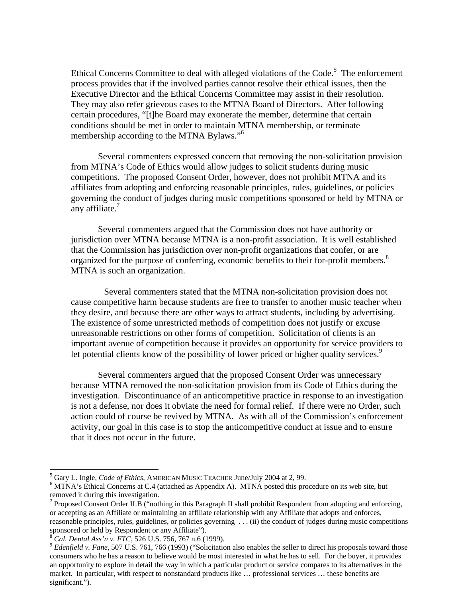Ethical Concerns Committee to deal with alleged violations of the Code.<sup>5</sup> The enforcement process provides that if the involved parties cannot resolve their ethical issues, then the Executive Director and the Ethical Concerns Committee may assist in their resolution. They may also refer grievous cases to the MTNA Board of Directors. After following certain procedures, "[t]he Board may exonerate the member, determine that certain conditions should be met in order to maintain MTNA membership, or terminate membership according to the MTNA Bylaws."<sup>6</sup>

Several commenters expressed concern that removing the non-solicitation provision from MTNA's Code of Ethics would allow judges to solicit students during music competitions. The proposed Consent Order, however, does not prohibit MTNA and its affiliates from adopting and enforcing reasonable principles, rules, guidelines, or policies governing the conduct of judges during music competitions sponsored or held by MTNA or any affiliate. $<sup>7</sup>$ </sup>

Several commenters argued that the Commission does not have authority or jurisdiction over MTNA because MTNA is a non-profit association. It is well established that the Commission has jurisdiction over non-profit organizations that confer, or are organized for the purpose of conferring, economic benefits to their for-profit members.<sup>8</sup> MTNA is such an organization.

 Several commenters stated that the MTNA non-solicitation provision does not cause competitive harm because students are free to transfer to another music teacher when they desire, and because there are other ways to attract students, including by advertising. The existence of some unrestricted methods of competition does not justify or excuse unreasonable restrictions on other forms of competition. Solicitation of clients is an important avenue of competition because it provides an opportunity for service providers to let potential clients know of the possibility of lower priced or higher quality services.<sup>9</sup>

Several commenters argued that the proposed Consent Order was unnecessary because MTNA removed the non-solicitation provision from its Code of Ethics during the investigation. Discontinuance of an anticompetitive practice in response to an investigation is not a defense, nor does it obviate the need for formal relief. If there were no Order, such action could of course be revived by MTNA. As with all of the Commission's enforcement activity, our goal in this case is to stop the anticompetitive conduct at issue and to ensure that it does not occur in the future.

<sup>&</sup>lt;sup>5</sup> Gary L. Ingle, *Code of Ethics*, AMERICAN MUSIC TEACHER June/July 2004 at 2, 99.

MTNA's Ethical Concerns at C.4 (attached as Appendix A). MTNA posted this procedure on its web site, but removed it during this investigation.

 $<sup>7</sup>$  Proposed Consent Order II.B ("nothing in this Paragraph II shall prohibit Respondent from adopting and enforcing,</sup> or accepting as an Affiliate or maintaining an affiliate relationship with any Affiliate that adopts and enforces, reasonable principles, rules, guidelines, or policies governing . . . (ii) the conduct of judges during music competitions sponsored or held by Respondent or any Affiliate").<br><sup>8</sup> Cal. Dental Ass'n v. FTC, 526 U.S. 756, 767 n.6 (1999).<br><sup>9</sup> Edenfield v. Fane, 507 U.S. 761, 766 (1993) ("Solicitation also enables the seller to direct his proposals

consumers who he has a reason to believe would be most interested in what he has to sell. For the buyer, it provides an opportunity to explore in detail the way in which a particular product or service compares to its alternatives in the market. In particular, with respect to nonstandard products like … professional services … these benefits are significant.").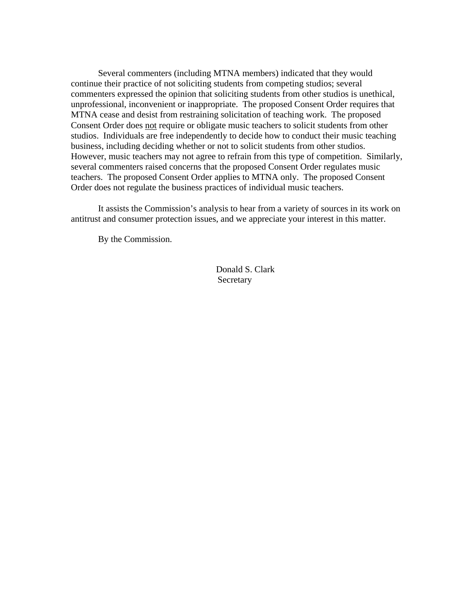Several commenters (including MTNA members) indicated that they would continue their practice of not soliciting students from competing studios; several commenters expressed the opinion that soliciting students from other studios is unethical, unprofessional, inconvenient or inappropriate. The proposed Consent Order requires that MTNA cease and desist from restraining solicitation of teaching work. The proposed Consent Order does not require or obligate music teachers to solicit students from other studios. Individuals are free independently to decide how to conduct their music teaching business, including deciding whether or not to solicit students from other studios. However, music teachers may not agree to refrain from this type of competition. Similarly, several commenters raised concerns that the proposed Consent Order regulates music teachers. The proposed Consent Order applies to MTNA only. The proposed Consent Order does not regulate the business practices of individual music teachers.

It assists the Commission's analysis to hear from a variety of sources in its work on antitrust and consumer protection issues, and we appreciate your interest in this matter.

By the Commission.

Donald S. Clark Secretary